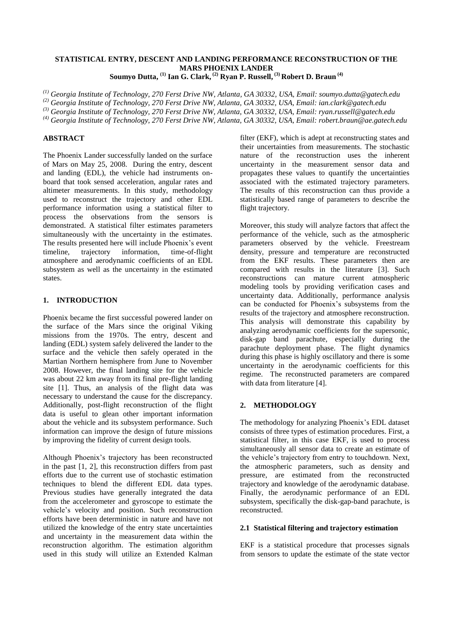# **STATISTICAL ENTRY, DESCENT AND LANDING PERFORMANCE RECONSTRUCTION OF THE MARS PHOENIX LANDER**

**Soumyo Dutta, (1) Ian G. Clark, (2) Ryan P. Russell, (3) Robert D. Braun (4)**

*(1) Georgia Institute of Technology, 270 Ferst Drive NW, Atlanta, GA 30332, USA, Email: soumyo.dutta@gatech.edu*

*(2) Georgia Institute of Technology, 270 Ferst Drive NW, Atlanta, GA 30332, USA, Email: ian.clark@gatech.edu*

*(3) Georgia Institute of Technology, 270 Ferst Drive NW, Atlanta, GA 30332, USA, Email: ryan.russell@gatech.edu*

*(4) Georgia Institute of Technology, 270 Ferst Drive NW, Atlanta, GA 30332, USA, Email: robert.braun@ae.gatech.edu*

# **ABSTRACT**

The Phoenix Lander successfully landed on the surface of Mars on May 25, 2008. During the entry, descent and landing (EDL), the vehicle had instruments onboard that took sensed acceleration, angular rates and altimeter measurements. In this study, methodology used to reconstruct the trajectory and other EDL performance information using a statistical filter to process the observations from the sensors is demonstrated. A statistical filter estimates parameters simultaneously with the uncertainty in the estimates. The results presented here will include Phoenix's event timeline, trajectory information, time-of-flight atmosphere and aerodynamic coefficients of an EDL subsystem as well as the uncertainty in the estimated states.

### **1. INTRODUCTION**

Phoenix became the first successful powered lander on the surface of the Mars since the original Viking missions from the 1970s. The entry, descent and landing (EDL) system safely delivered the lander to the surface and the vehicle then safely operated in the Martian Northern hemisphere from June to November 2008. However, the final landing site for the vehicle was about 22 km away from its final pre-flight landing site [\[1\]](#page-6-0). Thus, an analysis of the flight data was necessary to understand the cause for the discrepancy. Additionally, post-flight reconstruction of the flight data is useful to glean other important information about the vehicle and its subsystem performance. Such information can improve the design of future missions by improving the fidelity of current design tools.

Although Phoenix's trajectory has been reconstructed in the past [\[1,](#page-6-0) [2\]](#page-6-1), this reconstruction differs from past efforts due to the current use of stochastic estimation techniques to blend the different EDL data types. Previous studies have generally integrated the data from the accelerometer and gyroscope to estimate the vehicle's velocity and position. Such reconstruction efforts have been deterministic in nature and have not utilized the knowledge of the entry state uncertainties and uncertainty in the measurement data within the reconstruction algorithm. The estimation algorithm used in this study will utilize an Extended Kalman

filter (EKF), which is adept at reconstructing states and their uncertainties from measurements. The stochastic nature of the reconstruction uses the inherent uncertainty in the measurement sensor data and propagates these values to quantify the uncertainties associated with the estimated trajectory parameters. The results of this reconstruction can thus provide a statistically based range of parameters to describe the flight trajectory.

Moreover, this study will analyze factors that affect the performance of the vehicle, such as the atmospheric parameters observed by the vehicle. Freestream density, pressure and temperature are reconstructed from the EKF results. These parameters then are compared with results in the literature [\[3\]](#page-6-2). Such reconstructions can mature current atmospheric modeling tools by providing verification cases and uncertainty data. Additionally, performance analysis can be conducted for Phoenix's subsystems from the results of the trajectory and atmosphere reconstruction. This analysis will demonstrate this capability by analyzing aerodynamic coefficients for the supersonic, disk-gap band parachute, especially during the parachute deployment phase. The flight dynamics during this phase is highly oscillatory and there is some uncertainty in the aerodynamic coefficients for this regime. The reconstructed parameters are compared with data from literature [\[4\]](#page-6-3).

# **2. METHODOLOGY**

The methodology for analyzing Phoenix's EDL dataset consists of three types of estimation procedures. First, a statistical filter, in this case EKF, is used to process simultaneously all sensor data to create an estimate of the vehicle's trajectory from entry to touchdown. Next, the atmospheric parameters, such as density and pressure, are estimated from the reconstructed trajectory and knowledge of the aerodynamic database. Finally, the aerodynamic performance of an EDL subsystem, specifically the disk-gap-band parachute, is reconstructed.

### **2.1 Statistical filtering and trajectory estimation**

EKF is a statistical procedure that processes signals from sensors to update the estimate of the state vector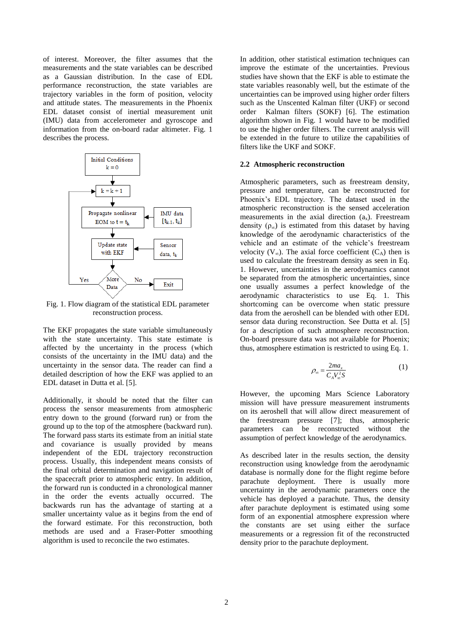of interest. Moreover, the filter assumes that the measurements and the state variables can be described as a Gaussian distribution. In the case of EDL performance reconstruction, the state variables are trajectory variables in the form of position, velocity and attitude states. The measurements in the Phoenix EDL dataset consist of inertial measurement unit (IMU) data from accelerometer and gyroscope and information from the on-board radar altimeter. [Fig. 1](#page-1-0) describes the process.



<span id="page-1-0"></span>Fig. 1. Flow diagram of the statistical EDL parameter reconstruction process.

The EKF propagates the state variable simultaneously with the state uncertainty. This state estimate is affected by the uncertainty in the process (which consists of the uncertainty in the IMU data) and the uncertainty in the sensor data. The reader can find a detailed description of how the EKF was applied to an EDL dataset in Dutta et al. [\[5\]](#page-6-4).

Additionally, it should be noted that the filter can process the sensor measurements from atmospheric entry down to the ground (forward run) or from the ground up to the top of the atmosphere (backward run). The forward pass starts its estimate from an initial state and covariance is usually provided by means independent of the EDL trajectory reconstruction process. Usually, this independent means consists of the final orbital determination and navigation result of the spacecraft prior to atmospheric entry. In addition, the forward run is conducted in a chronological manner in the order the events actually occurred. The backwards run has the advantage of starting at a smaller uncertainty value as it begins from the end of the forward estimate. For this reconstruction, both methods are used and a Fraser-Potter smoothing algorithm is used to reconcile the two estimates.

In addition, other statistical estimation techniques can improve the estimate of the uncertainties. Previous studies have shown that the EKF is able to estimate the state variables reasonably well, but the estimate of the uncertainties can be improved using higher order filters such as the Unscented Kalman filter (UKF) or second<br>order Kalman filters (SOKF) [6]. The estimation Kalman filters (SOKF) [\[6\]](#page-6-5). The estimation algorithm shown in [Fig. 1](#page-1-0) would have to be modified to use the higher order filters. The current analysis will be extended in the future to utilize the capabilities of filters like the UKF and SOKF.

#### **2.2 Atmospheric reconstruction**

Atmospheric parameters, such as freestream density, pressure and temperature, can be reconstructed for Phoenix's EDL trajectory. The dataset used in the atmospheric reconstruction is the sensed acceleration measurements in the axial direction  $(a_x)$ . Freestream density  $(\rho_{\infty})$  is estimated from this dataset by having knowledge of the aerodynamic characteristics of the vehicle and an estimate of the vehicle's freestream velocity  $(V_\infty)$ . The axial force coefficient  $(C_A)$  then is used to calculate the freestream density as seen in Eq. 1. However, uncertainties in the aerodynamics cannot be separated from the atmospheric uncertainties, since one usually assumes a perfect knowledge of the aerodynamic characteristics to use Eq. 1. This shortcoming can be overcome when static pressure data from the aeroshell can be blended with other EDL sensor data during reconstruction. See Dutta et al. [\[5\]](#page-6-4) for a description of such atmosphere reconstruction. On-board pressure data was not available for Phoenix; thus, atmosphere estimation is restricted to using Eq. 1.

$$
\rho_{\infty} = \frac{2ma_x}{C_A V_{\infty}^2 S} \tag{1}
$$

However, the upcoming Mars Science Laboratory mission will have pressure measurement instruments on its aeroshell that will allow direct measurement of the freestream pressure [\[7\]](#page-6-6); thus, atmospheric parameters can be reconstructed without the assumption of perfect knowledge of the aerodynamics.

As described later in the results section, the density reconstruction using knowledge from the aerodynamic database is normally done for the flight regime before parachute deployment. There is usually more uncertainty in the aerodynamic parameters once the vehicle has deployed a parachute. Thus, the density after parachute deployment is estimated using some form of an exponential atmosphere expression where the constants are set using either the surface measurements or a regression fit of the reconstructed density prior to the parachute deployment.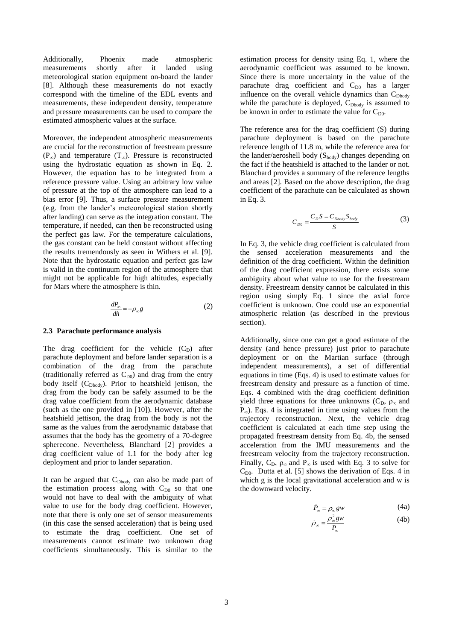Additionally, Phoenix made atmospheric measurements shortly after it landed using meteorological station equipment on-board the lander [\[8\]](#page-6-7). Although these measurements do not exactly correspond with the timeline of the EDL events and measurements, these independent density, temperature and pressure measurements can be used to compare the estimated atmospheric values at the surface.

Moreover, the independent atmospheric measurements are crucial for the reconstruction of freestream pressure  $(P<sub>∞</sub>)$  and temperature  $(T<sub>∞</sub>)$ . Pressure is reconstructed using the hydrostatic equation as shown in Eq. 2. However, the equation has to be integrated from a reference pressure value. Using an arbitrary low value of pressure at the top of the atmosphere can lead to a bias error [\[9\]](#page-6-8). Thus, a surface pressure measurement (e.g. from the lander's meteorological station shortly after landing) can serve as the integration constant. The temperature, if needed, can then be reconstructed using the perfect gas law. For the temperature calculations, the gas constant can be held constant without affecting the results tremendously as seen in Withers et al. [\[9\]](#page-6-8). Note that the hydrostatic equation and perfect gas law is valid in the continuum region of the atmosphere that might not be applicable for high altitudes, especially for Mars where the atmosphere is thin.

$$
\frac{dP_{\infty}}{dh} = -\rho_{\infty} g \tag{2}
$$

#### **2.3 Parachute performance analysis**

The drag coefficient for the vehicle  $(C_D)$  after parachute deployment and before lander separation is a combination of the drag from the parachute (traditionally referred as  $C_{D0}$ ) and drag from the entry body itself (C<sub>Dbody</sub>). Prior to heatshield jettison, the drag from the body can be safely assumed to be the drag value coefficient from the aerodynamic database (such as the one provided in [\[10\]](#page-6-9)). However, after the heatshield jettison, the drag from the body is not the same as the values from the aerodynamic database that assumes that the body has the geometry of a 70-degree spherecone. Nevertheless, Blanchard [\[2\]](#page-6-1) provides a drag coefficient value of 1.1 for the body after leg deployment and prior to lander separation.

It can be argued that  $C_{Dbody}$  can also be made part of the estimation process along with  $C_{D0}$  so that one would not have to deal with the ambiguity of what value to use for the body drag coefficient. However, note that there is only one set of sensor measurements (in this case the sensed acceleration) that is being used to estimate the drag coefficient. One set of measurements cannot estimate two unknown drag coefficients simultaneously. This is similar to the

estimation process for density using Eq. 1, where the aerodynamic coefficient was assumed to be known. Since there is more uncertainty in the value of the parachute drag coefficient and  $C_{D0}$  has a larger influence on the overall vehicle dynamics than C<sub>Dbody</sub> while the parachute is deployed,  $C_{Dbody}$  is assumed to be known in order to estimate the value for  $C_{D0}$ .

The reference area for the drag coefficient (S) during parachute deployment is based on the parachute reference length of 11.8 m, while the reference area for the lander/aeroshell body  $(S_{body})$  changes depending on the fact if the heatshield is attached to the lander or not. Blanchard provides a summary of the reference lengths and areas [\[2\]](#page-6-1). Based on the above description, the drag coefficient of the parachute can be calculated as shown in Eq. 3.

$$
C_{D0} = \frac{C_D S - C_{Dbody} S_{body}}{S}
$$
 (3)

In Eq. 3, the vehicle drag coefficient is calculated from the sensed acceleration measurements and the definition of the drag coefficient. Within the definition of the drag coefficient expression, there exists some ambiguity about what value to use for the freestream density. Freestream density cannot be calculated in this region using simply Eq. 1 since the axial force coefficient is unknown. One could use an exponential atmospheric relation (as described in the previous section).

Additionally, since one can get a good estimate of the density (and hence pressure) just prior to parachute deployment or on the Martian surface (through independent measurements), a set of differential equations in time (Eqs. 4) is used to estimate values for freestream density and pressure as a function of time. Eqs. 4 combined with the drag coefficient definition yield three equations for three unknowns ( $C_D$ ,  $\rho_{\infty}$  and  $P_{\infty}$ ). Eqs. 4 is integrated in time using values from the trajectory reconstruction. Next, the vehicle drag coefficient is calculated at each time step using the propagated freestream density from Eq. 4b, the sensed acceleration from the IMU measurements and the freestream velocity from the trajectory reconstruction. Finally,  $C_{D}$ ,  $\rho_{\infty}$  and  $P_{\infty}$  is used with Eq. 3 to solve for  $C_{D0}$ . Dutta et al. [\[5\]](#page-6-4) shows the derivation of Eqs. 4 in which g is the local gravitational acceleration and w is the downward velocity.

$$
\dot{P}_{\infty} = \rho_{\infty} g w \tag{4a}
$$

$$
\dot{\rho}_{\infty} = \frac{\rho_{\infty}^2 g w}{P_{\infty}} \tag{4b}
$$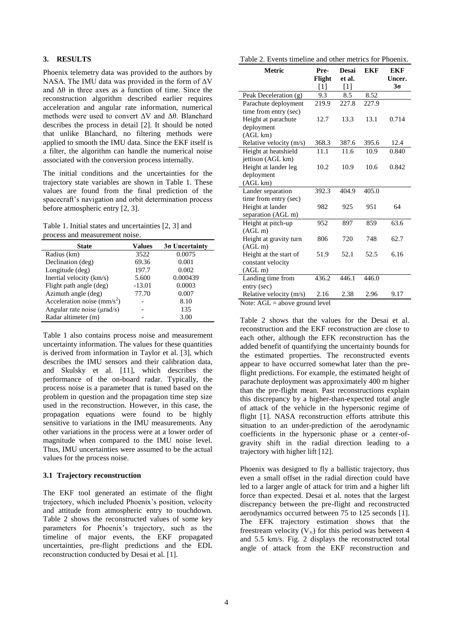# **3. RESULTS**

Phoenix telemetry data was provided to the authors by NASA. The IMU data was provided in the form of  $\Delta V$ and  $\Delta\theta$  in three axes as a function of time. Since the reconstruction algorithm described earlier requires acceleration and angular rate information, numerical methods were used to convert ΔV and Δθ. Blanchard describes the process in detail [\[2\]](#page-6-1). It should be noted that unlike Blanchard, no filtering methods were applied to smooth the IMU data. Since the EKF itself is a filter, the algorithm can handle the numerical noise associated with the conversion process internally.

The initial conditions and the uncertainties for the trajectory state variables are shown in [Table 1.](#page-3-0) These values are found from the final prediction of the spacecraft's navigation and orbit determination process before atmospheric entry [\[2,](#page-6-1) [3\]](#page-6-2).

<span id="page-3-0"></span>Table 1. Initial states and uncertainties [\[2,](#page-6-1) [3\]](#page-6-2) and process and measurement noise.

| <b>State</b>                   | Values   | $3\sigma$ Uncertainty |  |
|--------------------------------|----------|-----------------------|--|
| Radius (km)                    | 3522     | 0.0075                |  |
| Declination (deg)              | 69.36    | 0.001                 |  |
| Longitude (deg)                | 197.7    | 0.002                 |  |
| Inertial velocity (km/s)       | 5.600    | 0.000439              |  |
| Flight path angle (deg)        | $-13.01$ | 0.0003                |  |
| Azimuth angle (deg)            | 77.70    | 0.007                 |  |
| Acceleration noise ( $mm/s2$ ) |          | 8.10                  |  |
| Angular rate noise (µrad/s)    |          | 135                   |  |
| Radar altimeter (m)            |          | 3.00                  |  |

[Table 1](#page-3-0) also contains process noise and measurement uncertainty information. The values for these quantities is derived from information in Taylor et al. [\[3\]](#page-6-2), which describes the IMU sensors and their calibration data, and Skulsky et al. [\[11\]](#page-7-0), which describes the performance of the on-board radar. Typically, the process noise is a parameter that is tuned based on the problem in question and the propagation time step size used in the reconstruction. However, in this case, the propagation equations were found to be highly sensitive to variations in the IMU measurements. Any other variations in the process were at a lower order of magnitude when compared to the IMU noise level. Thus, IMU uncertainties were assumed to be the actual values for the process noise.

### **3.1 Trajectory reconstruction**

The EKF tool generated an estimate of the flight trajectory, which included Phoenix's position, velocity and attitude from atmospheric entry to touchdown. [Table 2](#page-3-1) shows the reconstructed values of some key parameters for Phoenix's trajectory, such as the timeline of major events, the EKF propagated uncertainties, pre-flight predictions and the EDL reconstruction conducted by Desai et al. [\[1\]](#page-6-0).

<span id="page-3-1"></span>Table 2. Events timeline and other metrics for Phoenix.

| Pre-  | <b>Desai</b>                                   | <b>EKF</b>                              | EKF                   |
|-------|------------------------------------------------|-----------------------------------------|-----------------------|
|       |                                                |                                         | Uncer.<br>$3\sigma$   |
|       |                                                |                                         |                       |
|       |                                                |                                         |                       |
|       |                                                |                                         |                       |
|       |                                                |                                         |                       |
|       |                                                |                                         | 0.714                 |
|       |                                                |                                         |                       |
|       |                                                |                                         |                       |
| 368.3 | 387.6                                          | 395.6                                   | 12.4                  |
| 11.1  | 11.6                                           | 10.9                                    | 0.840                 |
|       |                                                |                                         |                       |
| 10.2  | 10.9                                           | 10.6                                    | 0.842                 |
|       |                                                |                                         |                       |
|       |                                                |                                         |                       |
| 392.3 | $404.\overline{9}$                             | 405.0                                   |                       |
|       |                                                |                                         |                       |
| 982   | 925                                            | 951                                     | 64                    |
|       |                                                |                                         |                       |
| 952   | 897                                            | 859                                     | 63.6                  |
|       |                                                |                                         |                       |
| 806   | 720                                            | 748                                     | 62.7                  |
|       |                                                |                                         |                       |
| 51.9  | 52.1                                           | 52.5                                    | 6.16                  |
|       |                                                |                                         |                       |
|       |                                                |                                         |                       |
| 436.2 | 446.1                                          | 446.0                                   |                       |
|       |                                                |                                         |                       |
| 2.16  | 2.38                                           | 2.96                                    | 9.17                  |
|       | Flight<br>$[1]$<br>9.3<br>219.9<br>12.7<br>11. | et al.<br>$[1]$<br>8.5<br>227.8<br>13.3 | 8.52<br>227.9<br>13.1 |

Note: AGL = above ground level

[Table 2](#page-3-1) shows that the values for the Desai et al. reconstruction and the EKF reconstruction are close to each other, although the EFK reconstruction has the added benefit of quantifying the uncertainty bounds for the estimated properties. The reconstructed events appear to have occurred somewhat later than the preflight predictions. For example, the estimated height of parachute deployment was approximately 400 m higher than the pre-flight mean. Past reconstructions explain this discrepancy by a higher-than-expected total angle of attack of the vehicle in the hypersonic regime of flight [\[1\]](#page-6-0). NASA reconstruction efforts attribute this situation to an under-prediction of the aerodynamic coefficients in the hypersonic phase or a center-ofgravity shift in the radial direction leading to a trajectory with higher lift [\[12\]](#page-7-1).

Phoenix was designed to fly a ballistic trajectory, thus even a small offset in the radial direction could have led to a larger angle of attack for trim and a higher lift force than expected. Desai et al. notes that the largest discrepancy between the pre-flight and reconstructed aerodynamics occurred between 75 to 125 seconds [\[1\]](#page-6-0). The EFK trajectory estimation shows that the freestream velocity ( $V_{\infty}$ ) for this period was between 4 and 5.5 km/s. [Fig. 2](#page-4-0) displays the reconstructed total angle of attack from the EKF reconstruction and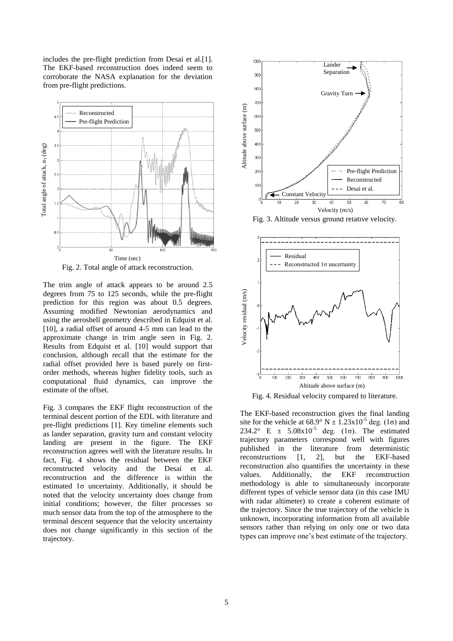includes the pre-flight prediction from Desai et al.[\[1\]](#page-6-0). The EKF-based reconstruction does indeed seem to corroborate the NASA explanation for the deviation from pre-flight predictions.



Fig. 2. Total angle of attack reconstruction.

<span id="page-4-0"></span>The trim angle of attack appears to be around 2.5 degrees from 75 to 125 seconds, while the pre-flight prediction for this region was about 0.5 degrees. Assuming modified Newtonian aerodynamics and using the aeroshell geometry described in Edquist et al. [\[10\]](#page-6-9), a radial offset of around 4-5 mm can lead to the approximate change in trim angle seen in [Fig. 2.](#page-4-0) Results from Edquist et al. [\[10\]](#page-6-9) would support that conclusion, although recall that the estimate for the radial offset provided here is based purely on firstorder methods, whereas higher fidelity tools, such as computational fluid dynamics, can improve the estimate of the offset.

[Fig. 3](#page-4-1) compares the EKF flight reconstruction of the terminal descent portion of the EDL with literature and pre-flight predictions [\[1\]](#page-6-0). Key timeline elements such as lander separation, gravity turn and constant velocity landing are present in the figure. The EKF reconstruction agrees well with the literature results. In fact, [Fig. 4](#page-4-2) shows the residual between the EKF reconstructed velocity and the Desai et al. reconstruction and the difference is within the estimated 1σ uncertainty. Additionally, it should be noted that the velocity uncertainty does change from initial conditions; however, the filter processes so much sensor data from the top of the atmosphere to the terminal descent sequence that the velocity uncertainty does not change significantly in this section of the trajectory.



<span id="page-4-1"></span>Fig. 3. Altitude versus ground relative velocity.



<span id="page-4-2"></span>Fig. 4. Residual velocity compared to literature.

The EKF-based reconstruction gives the final landing site for the vehicle at  $68.9^{\circ}$  N  $\pm$  1.23x10<sup>-5</sup> deg. (1 $\sigma$ ) and 234.2° E  $\pm$  5.08x10<sup>-5</sup> deg. (1 $\sigma$ ). The estimated trajectory parameters correspond well with figures published in the literature from deterministic reconstructions [\[1,](#page-6-0) [2\]](#page-6-1), but the EKF-based reconstruction also quantifies the uncertainty in these values. Additionally, the EKF reconstruction methodology is able to simultaneously incorporate different types of vehicle sensor data (in this case IMU with radar altimeter) to create a coherent estimate of the trajectory. Since the true trajectory of the vehicle is unknown, incorporating information from all available sensors rather than relying on only one or two data types can improve one's best estimate of the trajectory.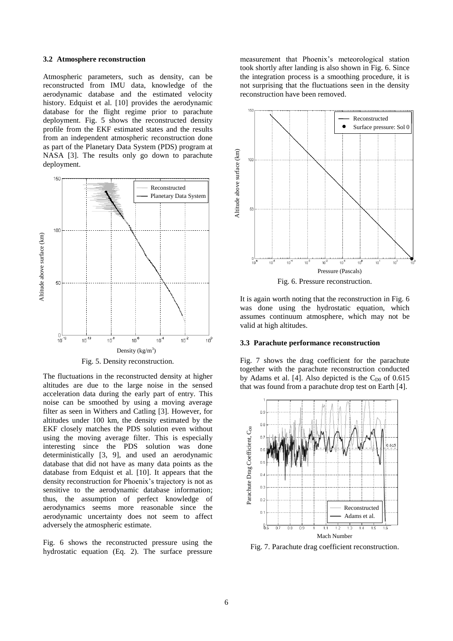#### **3.2 Atmosphere reconstruction**

Atmospheric parameters, such as density, can be reconstructed from IMU data, knowledge of the aerodynamic database and the estimated velocity history. Edquist et al. [\[10\]](#page-6-9) provides the aerodynamic database for the flight regime prior to parachute deployment. [Fig. 5](#page-5-0) shows the reconstructed density profile from the EKF estimated states and the results from an independent atmospheric reconstruction done as part of the Planetary Data System (PDS) program at NASA [\[3\]](#page-6-2). The results only go down to parachute deployment.



Fig. 5. Density reconstruction.

<span id="page-5-0"></span>The fluctuations in the reconstructed density at higher altitudes are due to the large noise in the sensed acceleration data during the early part of entry. This noise can be smoothed by using a moving average filter as seen in Withers and Catling [\[3\]](#page-6-2). However, for altitudes under 100 km, the density estimated by the EKF closely matches the PDS solution even without using the moving average filter. This is especially interesting since the PDS solution was done deterministically [\[3,](#page-6-2) [9\]](#page-6-8), and used an aerodynamic database that did not have as many data points as the database from Edquist et al. [\[10\]](#page-6-9). It appears that the density reconstruction for Phoenix's trajectory is not as sensitive to the aerodynamic database information; thus, the assumption of perfect knowledge of aerodynamics seems more reasonable since the aerodynamic uncertainty does not seem to affect adversely the atmospheric estimate.

[Fig. 6](#page-5-1) shows the reconstructed pressure using the hydrostatic equation (Eq. 2). The surface pressure

measurement that Phoenix's meteorological station took shortly after landing is also shown in [Fig. 6.](#page-5-1) Since the integration process is a smoothing procedure, it is not surprising that the fluctuations seen in the density reconstruction have been removed.





<span id="page-5-1"></span>It is again worth noting that the reconstruction in [Fig. 6](#page-5-1) was done using the hydrostatic equation, which assumes continuum atmosphere, which may not be valid at high altitudes.

#### **3.3 Parachute performance reconstruction**

[Fig. 7](#page-5-2) shows the drag coefficient for the parachute together with the parachute reconstruction conducted by Adams et al. [\[4\]](#page-6-3). Also depicted is the  $C_{D0}$  of 0.615 that was found from a parachute drop test on Earth [\[4\]](#page-6-3).



<span id="page-5-2"></span>Fig. 7. Parachute drag coefficient reconstruction.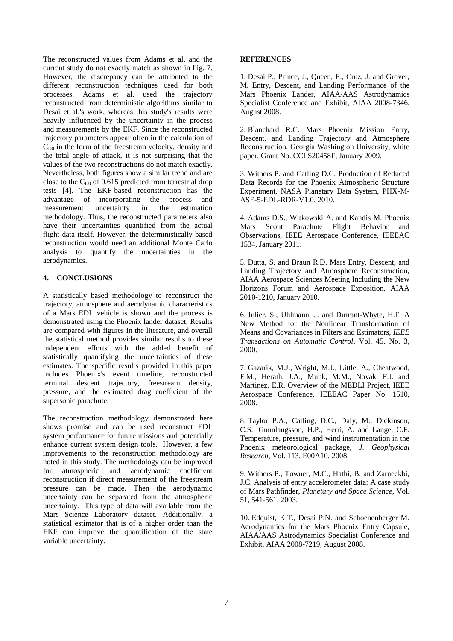The reconstructed values from Adams et al. and the current study do not exactly match as shown in [Fig. 7.](#page-5-2) However, the discrepancy can be attributed to the different reconstruction techniques used for both processes. Adams et al. used the trajectory reconstructed from deterministic algorithms similar to Desai et al.'s work, whereas this study's results were heavily influenced by the uncertainty in the process and measurements by the EKF. Since the reconstructed trajectory parameters appear often in the calculation of  $C_{\text{D}0}$  in the form of the freestream velocity, density and the total angle of attack, it is not surprising that the values of the two reconstructions do not match exactly. Nevertheless, both figures show a similar trend and are close to the  $C_{D0}$  of 0.615 predicted from terrestrial drop tests [\[4\]](#page-6-3). The EKF-based reconstruction has the advantage of incorporating the process and advantage of incorporating measurement uncertainty in the estimation methodology. Thus, the reconstructed parameters also have their uncertainties quantified from the actual flight data itself. However, the deterministically based reconstruction would need an additional Monte Carlo analysis to quantify the uncertainties in the aerodynamics.

# **4. CONCLUSIONS**

A statistically based methodology to reconstruct the trajectory, atmosphere and aerodynamic characteristics of a Mars EDL vehicle is shown and the process is demonstrated using the Phoenix lander dataset. Results are compared with figures in the literature, and overall the statistical method provides similar results to these independent efforts with the added benefit of statistically quantifying the uncertainties of these estimates. The specific results provided in this paper includes Phoenix's event timeline, reconstructed terminal descent trajectory, freestream density, pressure, and the estimated drag coefficient of the supersonic parachute.

The reconstruction methodology demonstrated here shows promise and can be used reconstruct EDL system performance for future missions and potentially enhance current system design tools. However, a few improvements to the reconstruction methodology are noted in this study. The methodology can be improved for atmospheric and aerodynamic coefficient reconstruction if direct measurement of the freestream pressure can be made. Then the aerodynamic uncertainty can be separated from the atmospheric uncertainty. This type of data will available from the Mars Science Laboratory dataset. Additionally, a statistical estimator that is of a higher order than the EKF can improve the quantification of the state variable uncertainty.

## **REFERENCES**

<span id="page-6-0"></span>1. Desai P., Prince, J., Queen, E., Cruz, J. and Grover, M. Entry, Descent, and Landing Performance of the Mars Phoenix Lander, AIAA/AAS Astrodynamics Specialist Conference and Exhibit, AIAA 2008-7346, August 2008.

<span id="page-6-1"></span>2. Blanchard R.C. Mars Phoenix Mission Entry, Descent, and Landing Trajectory and Atmosphere Reconstruction. Georgia Washington University, white paper, Grant No. CCLS20458F, January 2009.

<span id="page-6-2"></span>3. Withers P. and Catling D.C. Production of Reduced Data Records for the Phoenix Atmospheric Structure Experiment, NASA Planetary Data System, PHX-M-ASE-5-EDL-RDR-V1.0, 2010.

<span id="page-6-3"></span>4. Adams D.S., Witkowski A. and Kandis M. Phoenix Mars Scout Parachute Flight Behavior and Observations, IEEE Aerospace Conference, IEEEAC 1534, January 2011.

<span id="page-6-4"></span>5. Dutta, S. and Braun R.D. Mars Entry, Descent, and Landing Trajectory and Atmosphere Reconstruction, AIAA Aerospace Sciences Meeting Including the New Horizons Forum and Aerospace Exposition, AIAA 2010-1210, January 2010.

<span id="page-6-5"></span>6. Julier, S., Uhlmann, J. and Durrant-Whyte, H.F. A New Method for the Nonlinear Transformation of Means and Covariances in Filters and Estimators, *IEEE Transactions on Automatic Control*, Vol. 45, No. 3, 2000.

<span id="page-6-6"></span>7. Gazarik, M.J., Wright, M.J., Little, A., Cheatwood, F.M., Herath, J.A., Munk, M.M., Novak, F.J. and Martinez, E.R. Overview of the MEDLI Project, IEEE Aerospace Conference, IEEEAC Paper No. 1510, 2008.

<span id="page-6-7"></span>8. Taylor P.A., Catling, D.C., Daly, M., Dickinson, C.S., Gunnlaugsson, H.P., Herri, A. and Lange, C.F. Temperature, pressure, and wind instrumentation in the Phoenix meteorological package, *J. Geophysical Research*, Vol. 113, E00A10, 2008.

<span id="page-6-8"></span>9. Withers P., Towner, M.C., Hathi, B. and Zarneckbi, J.C. Analysis of entry accelerometer data: A case study of Mars Pathfinder, *Planetary and Space Science*, Vol. 51, 541-561, 2003.

<span id="page-6-9"></span>10. Edquist, K.T., Desai P.N. and Schoenenberger M. Aerodynamics for the Mars Phoenix Entry Capsule, AIAA/AAS Astrodynamics Specialist Conference and Exhibit, AIAA 2008-7219, August 2008.